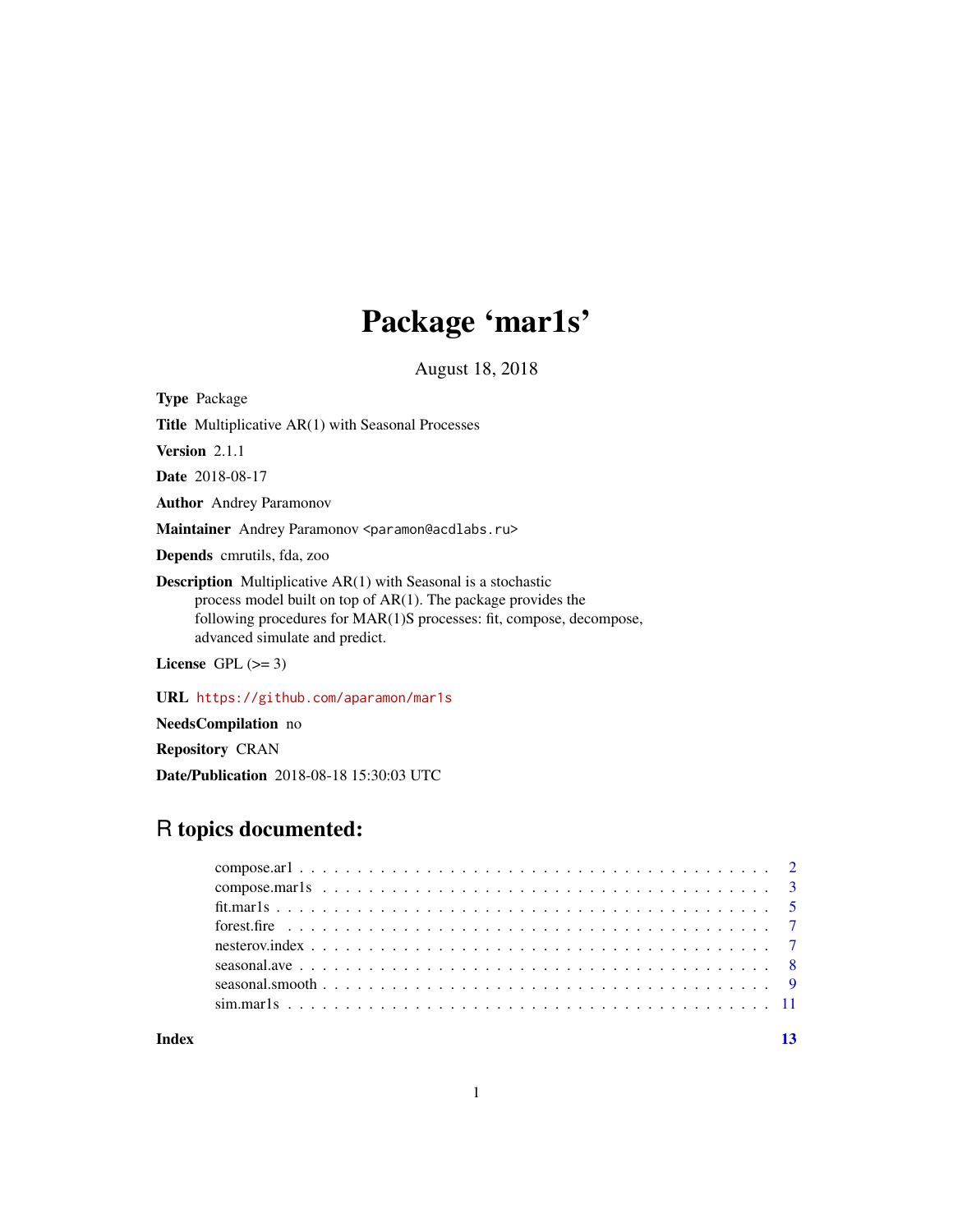## Package 'mar1s'

August 18, 2018

<span id="page-0-0"></span>Type Package

Title Multiplicative AR(1) with Seasonal Processes

Version 2.1.1

Date 2018-08-17

Author Andrey Paramonov

Maintainer Andrey Paramonov <paramon@acdlabs.ru>

Depends cmrutils, fda, zoo

Description Multiplicative AR(1) with Seasonal is a stochastic process model built on top of AR(1). The package provides the following procedures for MAR(1)S processes: fit, compose, decompose, advanced simulate and predict.

License GPL  $(>= 3)$ 

URL <https://github.com/aparamon/mar1s>

NeedsCompilation no

Repository CRAN

Date/Publication 2018-08-18 15:30:03 UTC

## R topics documented:

**Index** [13](#page-12-0)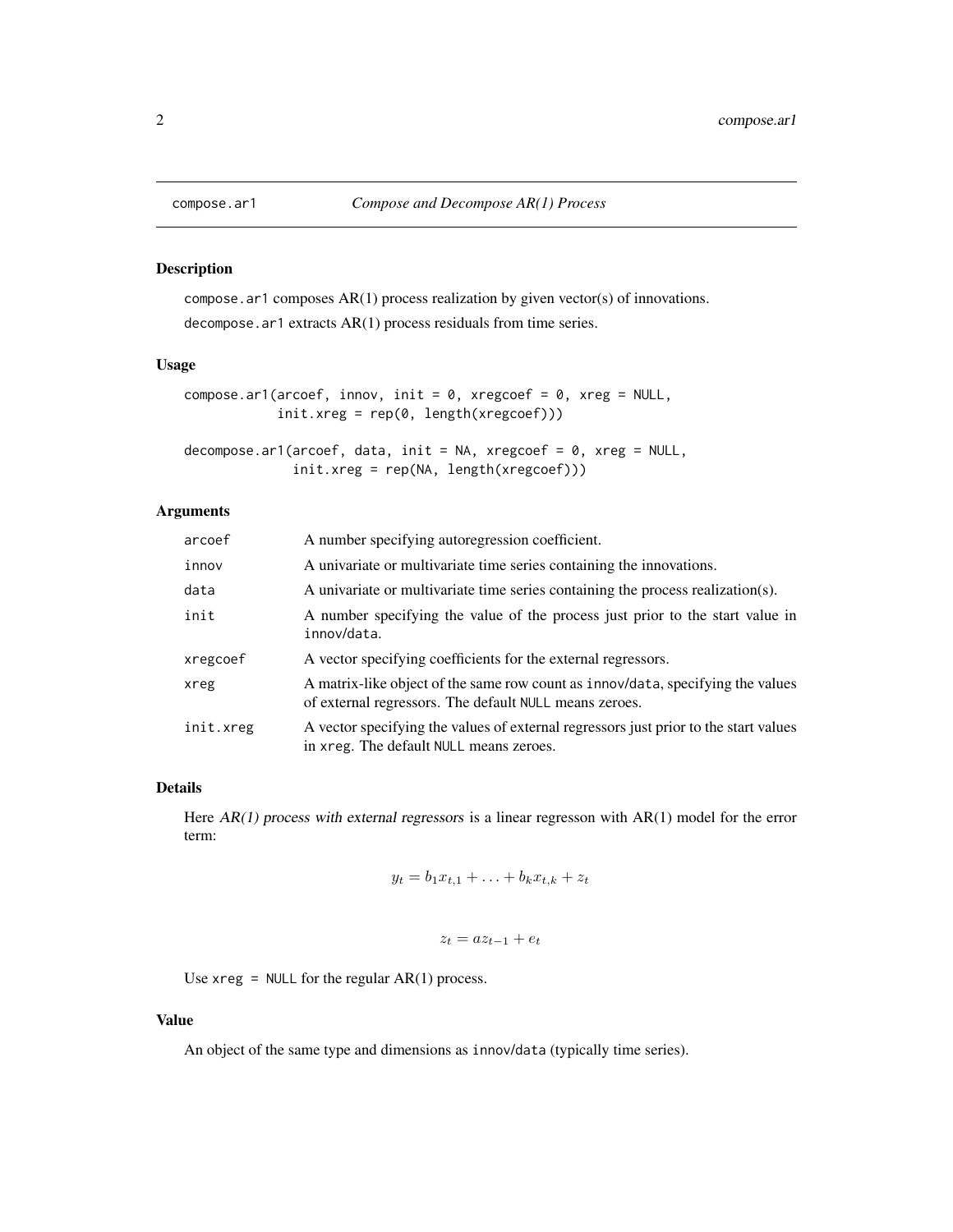<span id="page-1-1"></span><span id="page-1-0"></span>

## Description

compose.ar1 composes AR(1) process realization by given vector(s) of innovations. decompose.ar1 extracts AR(1) process residuals from time series.

## Usage

```
compose.ar1(arcoef, innov, init = 0, xregcoef = 0, xreg = NULL,init.xreg = rep(0, length(xregcoef)))
```

```
decompose.ar1(arcoef, data, init = NA, xregcoef = \theta, xreg = NULL,
              init.xreg = rep(NA, length(xregcoef)))
```
## Arguments

| arcoef    | A number specifying autoregression coefficient.                                                                                           |
|-----------|-------------------------------------------------------------------------------------------------------------------------------------------|
| innov     | A univariate or multivariate time series containing the innovations.                                                                      |
| data      | A univariate or multivariate time series containing the process realization(s).                                                           |
| init      | A number specifying the value of the process just prior to the start value in<br>innov/data.                                              |
| xregcoef  | A vector specifying coefficients for the external regressors.                                                                             |
| xreg      | A matrix-like object of the same row count as innov/data, specifying the values<br>of external regressors. The default NULL means zeroes. |
| init.xreg | A vector specifying the values of external regressors just prior to the start values<br>in xreg. The default NULL means zeroes.           |

## Details

Here AR(1) process with external regressors is a linear regresson with AR(1) model for the error term:

$$
y_t = b_1 x_{t,1} + \ldots + b_k x_{t,k} + z_t
$$

$$
z_t = az_{t-1} + e_t
$$

Use  $xreg = NULL$  for the regular  $AR(1)$  process.

## Value

An object of the same type and dimensions as innov/data (typically time series).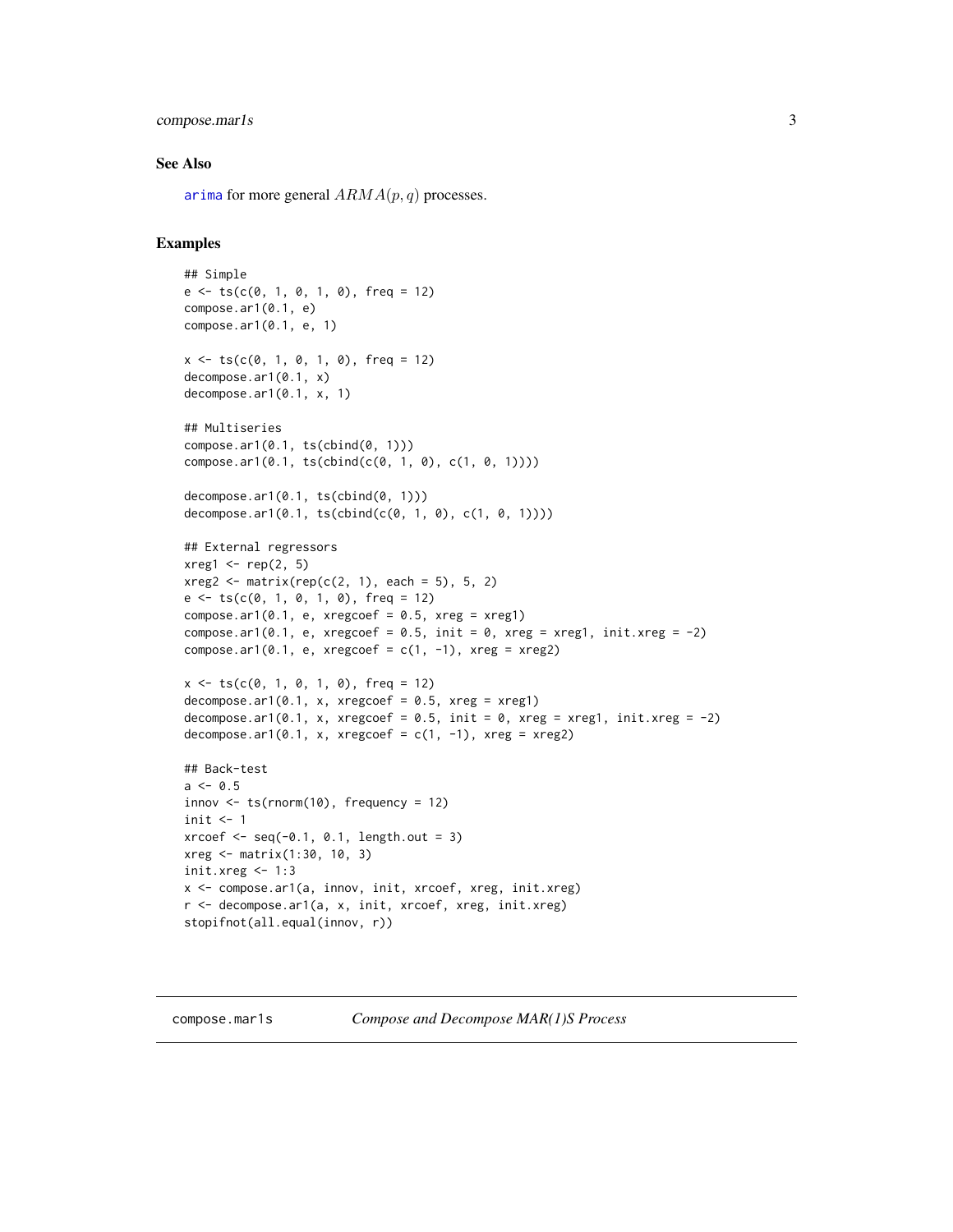## <span id="page-2-0"></span>compose.mar1s 3

## See Also

[arima](#page-0-0) for more general  $ARMA(p, q)$  processes.

```
## Simple
e \leftarrow ts(c(0, 1, 0, 1, 0), freq = 12)compose.ar1(0.1, e)
compose.ar1(0.1, e, 1)
x \leq -ts(c(0, 1, 0, 1, 0), freq = 12)decompose.ar1(0.1, x)
decompose.ar1(0.1, x, 1)
## Multiseries
compose.ar1(0.1, ts(cbind(0, 1)))
compose.ar1(0.1, ts(cbind(c(0, 1, 0), c(1, 0, 1))))
decompose.ar1(0.1, ts(cbind(0, 1)))
decompose.ar1(0.1, ts(cbind(c(0, 1, 0), c(1, 0, 1))))
## External regressors
xreg1 \leftarrow rep(2, 5)xreg2 \leq -\text{matrix}(rep(c(2, 1), each = 5), 5, 2)e \le f \le (c(0, 1, 0, 1, 0), freq = 12)compose.ar1(0.1, e, xregcoef = 0.5, xreg = xreg1)
compose.ar1(0.1, e, xregcoef = 0.5, init = 0, xreg = xreg1, init.xreg = -2)
compose.ar1(0.1, e, xregcoef = c(1, -1), xreg = xreg2)
x \le -t s(c(0, 1, 0, 1, 0), freq = 12)decompose.ar1(0.1, x, xregcoef = 0.5, xreg = xreg1)decompose.ar1(0.1, x, xregcoef = 0.5, init = 0, xreg = xreg1, init.xreg = -2)
decompose.ar1(0.1, x, xregcoef = c(1, -1), xreg = xreg2)
## Back-test
a \leq 0.5innov \leq ts(rnorm(10), frequency = 12)
init \leftarrow 1
xr\text{coef} < -\text{seq}(-0.1, 0.1, \text{length.out} = 3)xreg <- matrix(1:30, 10, 3)
init.xreg < -1:3x <- compose.ar1(a, innov, init, xrcoef, xreg, init.xreg)
r <- decompose.ar1(a, x, init, xrcoef, xreg, init.xreg)
stopifnot(all.equal(innov, r))
```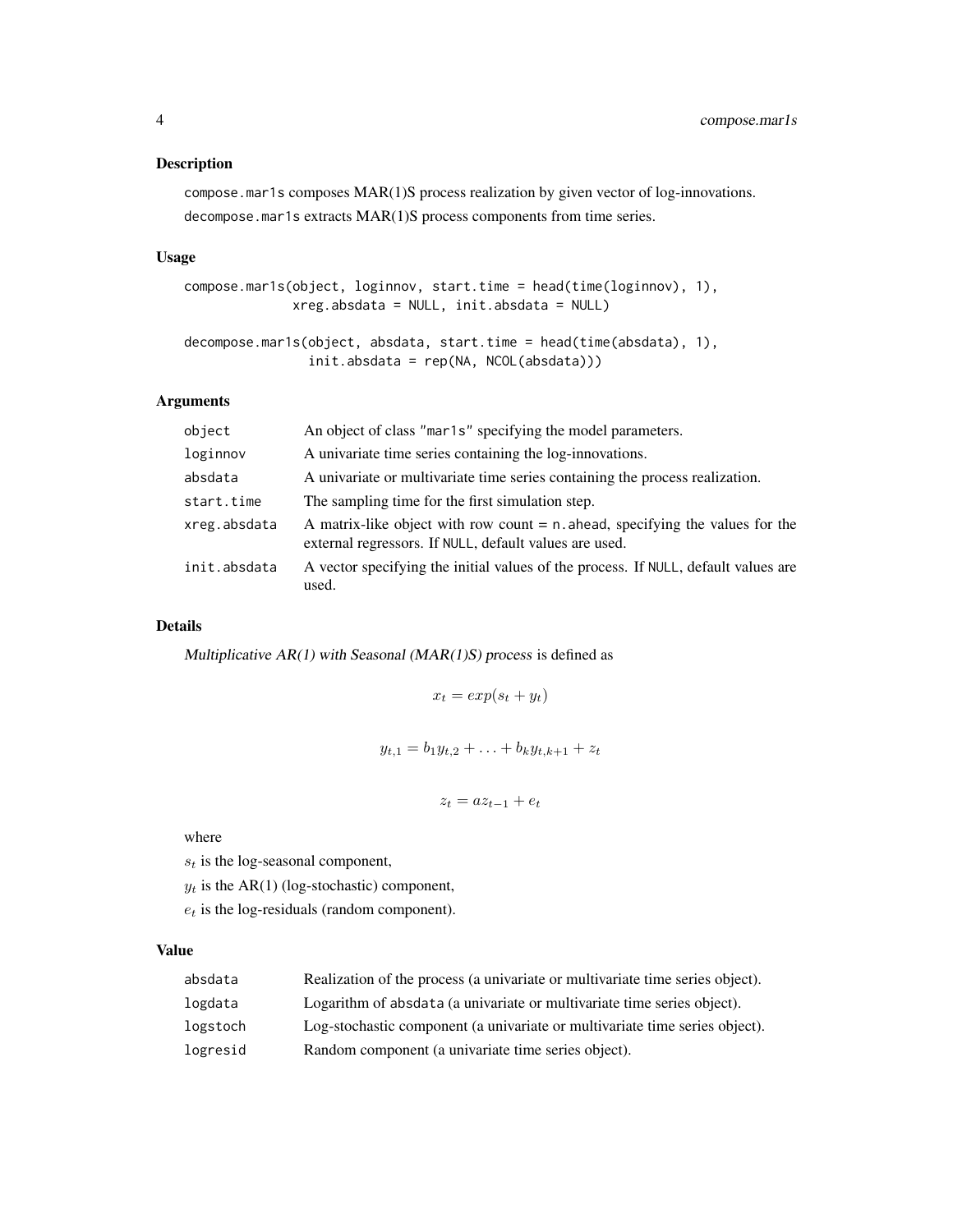## Description

compose.mar1s composes MAR(1)S process realization by given vector of log-innovations. decompose.mar1s extracts MAR(1)S process components from time series.

## Usage

```
compose.mar1s(object, loginnov, start.time = head(time(loginnov), 1),
              xreg.absdata = NULL, init.absdata = NULL)
```

```
decompose.mar1s(object, absdata, start.time = head(time(absdata), 1),
                init.absdata = rep(NA, NCOL(absdata)))
```
## Arguments

| object       | An object of class "mar1s" specifying the model parameters.                                                                                |
|--------------|--------------------------------------------------------------------------------------------------------------------------------------------|
| loginnov     | A univariate time series containing the log-innovations.                                                                                   |
| absdata      | A univariate or multivariate time series containing the process realization.                                                               |
| start.time   | The sampling time for the first simulation step.                                                                                           |
| xreg.absdata | A matrix-like object with row count $= n$ . ahead, specifying the values for the<br>external regressors. If NULL, default values are used. |
| init.absdata | A vector specifying the initial values of the process. If NULL, default values are<br>used.                                                |

## Details

Multiplicative  $AR(1)$  with Seasonal ( $MAR(1)S$ ) process is defined as

$$
x_t = \exp(s_t + y_t)
$$

$$
y_{t,1} = b_1 y_{t,2} + \ldots + b_k y_{t,k+1} + z_t
$$

$$
z_t = az_{t-1} + e_t
$$

where

 $s_t$  is the log-seasonal component,

 $y_t$  is the AR(1) (log-stochastic) component,

 $e_t$  is the log-residuals (random component).

## Value

| absdata  | Realization of the process (a univariate or multivariate time series object). |
|----------|-------------------------------------------------------------------------------|
| logdata  | Logarithm of absolata (a univariate or multivariate time series object).      |
| logstoch | Log-stochastic component (a univariate or multivariate time series object).   |
| logresid | Random component (a univariate time series object).                           |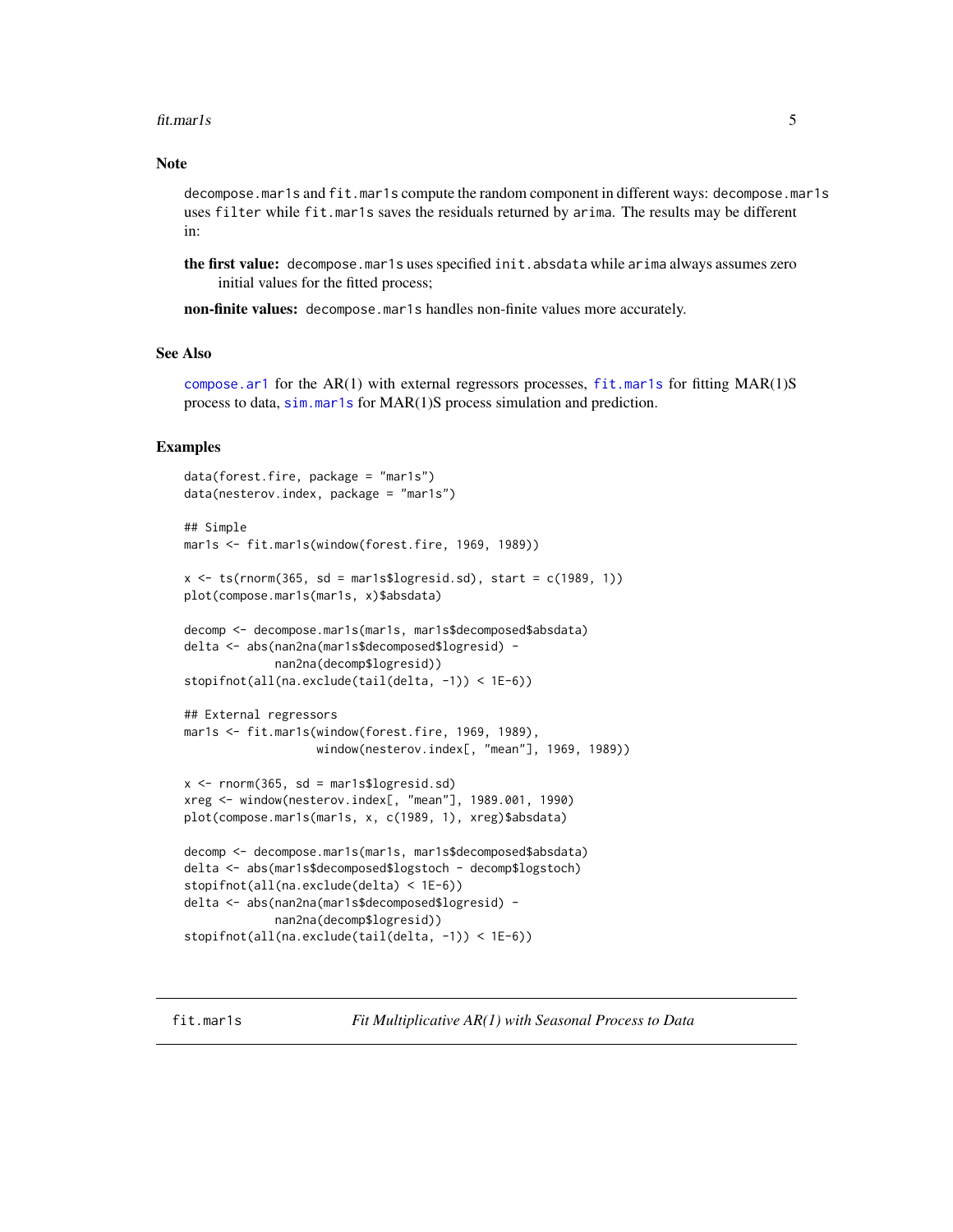#### <span id="page-4-0"></span>fit.mar1s 5

## **Note**

decompose.mar1s and fit.mar1s compute the random component in different ways: decompose.mar1s uses filter while fit.mar1s saves the residuals returned by arima. The results may be different in:

the first value: decompose.mar1s uses specified init.absdata while arima always assumes zero initial values for the fitted process;

non-finite values: decompose.mar1s handles non-finite values more accurately.

## See Also

[compose.ar1](#page-1-1) for the AR(1) with external regressors processes,  $fit$  mar1s for fitting MAR(1)S process to data, [sim.mar1s](#page-10-1) for MAR(1)S process simulation and prediction.

## Examples

```
data(forest.fire, package = "mar1s")
data(nesterov.index, package = "mar1s")
## Simple
mar1s <- fit.mar1s(window(forest.fire, 1969, 1989))
x \leq -ts(rnorm(365, sd = mar1s$logresid.sd), start = c(1989, 1))
plot(compose.mar1s(mar1s, x)$absdata)
decomp <- decompose.mar1s(mar1s, mar1s$decomposed$absdata)
delta <- abs(nan2na(mar1s$decomposed$logresid) -
             nan2na(decomp$logresid))
stopifnot(all(na.exclude(tail(delta, -1)) < 1E-6))
## External regressors
mar1s <- fit.mar1s(window(forest.fire, 1969, 1989),
                   window(nesterov.index[, "mean"], 1969, 1989))
x \leq -rnorm(365, sd = mar1s$logresid.sd)xreg <- window(nesterov.index[, "mean"], 1989.001, 1990)
plot(compose.mar1s(mar1s, x, c(1989, 1), xreg)$absdata)
decomp <- decompose.mar1s(mar1s, mar1s$decomposed$absdata)
delta <- abs(mar1s$decomposed$logstoch - decomp$logstoch)
stopifnot(all(na.exclude(delta) < 1E-6))
delta <- abs(nan2na(mar1s$decomposed$logresid) -
             nan2na(decomp$logresid))
stopifnot(all(na.exclude(tail(delta, -1)) < 1E-6))
```
<span id="page-4-1"></span>fit.mar1s *Fit Multiplicative AR(1) with Seasonal Process to Data*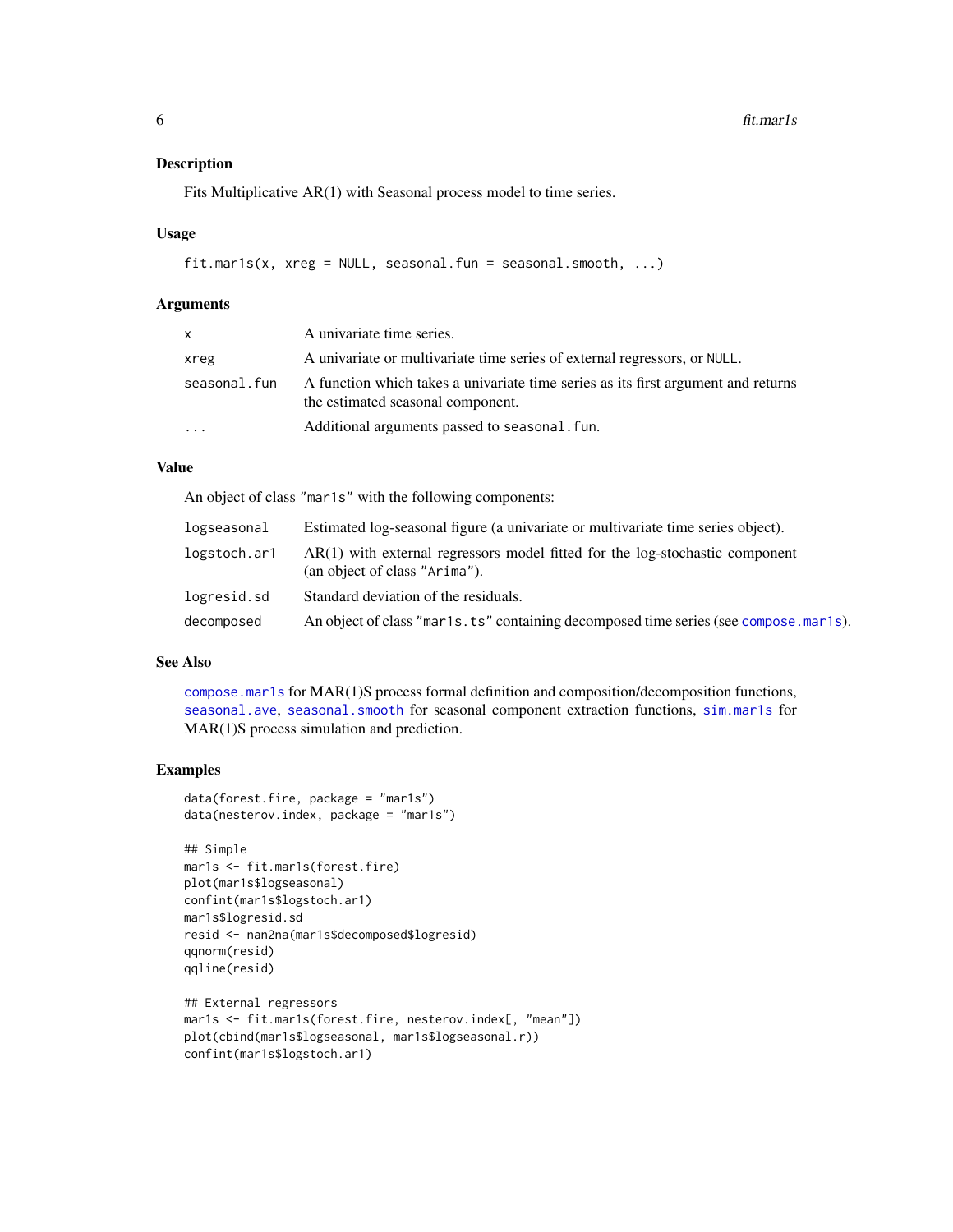## <span id="page-5-0"></span>Description

Fits Multiplicative AR(1) with Seasonal process model to time series.

#### Usage

```
fit.mar1s(x, xreg = NULL, seasonal.fun = seasonal.smooth, ...)
```
#### Arguments

| <b>X</b>     | A univariate time series.                                                                                              |
|--------------|------------------------------------------------------------------------------------------------------------------------|
| xreg         | A univariate or multivariate time series of external regressors, or NULL.                                              |
| seasonal.fun | A function which takes a univariate time series as its first argument and returns<br>the estimated seasonal component. |
| $\cdots$     | Additional arguments passed to seasonal, fun.                                                                          |

## Value

An object of class "mar1s" with the following components:

| logseasonal  | Estimated log-seasonal figure (a univariate or multivariate time series object).                                |
|--------------|-----------------------------------------------------------------------------------------------------------------|
| logstoch.ar1 | $AR(1)$ with external regressors model fitted for the log-stochastic component<br>(an object of class "Arima"). |
| logresid.sd  | Standard deviation of the residuals.                                                                            |
| decomposed   | An object of class "mar1s. ts" containing decomposed time series (see compose mar1s).                           |

## See Also

[compose.mar1s](#page-2-1) for MAR(1)S process formal definition and composition/decomposition functions, [seasonal.ave](#page-7-1), [seasonal.smooth](#page-8-1) for seasonal component extraction functions, [sim.mar1s](#page-10-1) for MAR(1)S process simulation and prediction.

```
data(forest.fire, package = "mar1s")
data(nesterov.index, package = "mar1s")
```

```
## Simple
mar1s <- fit.mar1s(forest.fire)
plot(mar1s$logseasonal)
confint(mar1s$logstoch.ar1)
mar1s$logresid.sd
resid <- nan2na(mar1s$decomposed$logresid)
qqnorm(resid)
qqline(resid)
## External regressors
```

```
mar1s <- fit.mar1s(forest.fire, nesterov.index[, "mean"])
plot(cbind(mar1s$logseasonal, mar1s$logseasonal.r))
confint(mar1s$logstoch.ar1)
```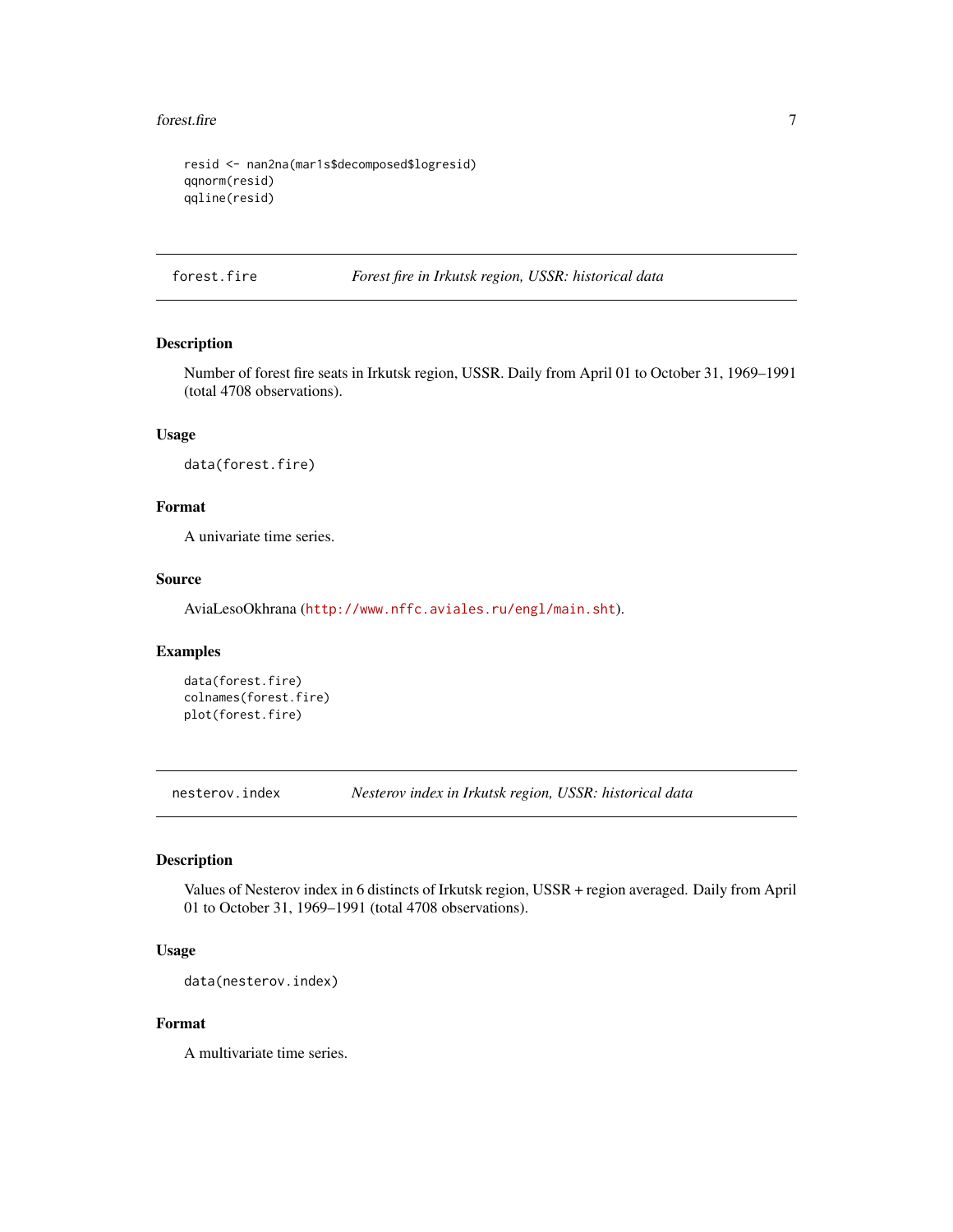#### <span id="page-6-0"></span>forest.fire 7

```
resid <- nan2na(mar1s$decomposed$logresid)
qqnorm(resid)
qqline(resid)
```
forest.fire *Forest fire in Irkutsk region, USSR: historical data*

## Description

Number of forest fire seats in Irkutsk region, USSR. Daily from April 01 to October 31, 1969–1991 (total 4708 observations).

## Usage

data(forest.fire)

## Format

A univariate time series.

## Source

AviaLesoOkhrana (<http://www.nffc.aviales.ru/engl/main.sht>).

## Examples

```
data(forest.fire)
colnames(forest.fire)
plot(forest.fire)
```
nesterov.index *Nesterov index in Irkutsk region, USSR: historical data*

## **Description**

Values of Nesterov index in 6 distincts of Irkutsk region, USSR + region averaged. Daily from April 01 to October 31, 1969–1991 (total 4708 observations).

## Usage

```
data(nesterov.index)
```
## Format

A multivariate time series.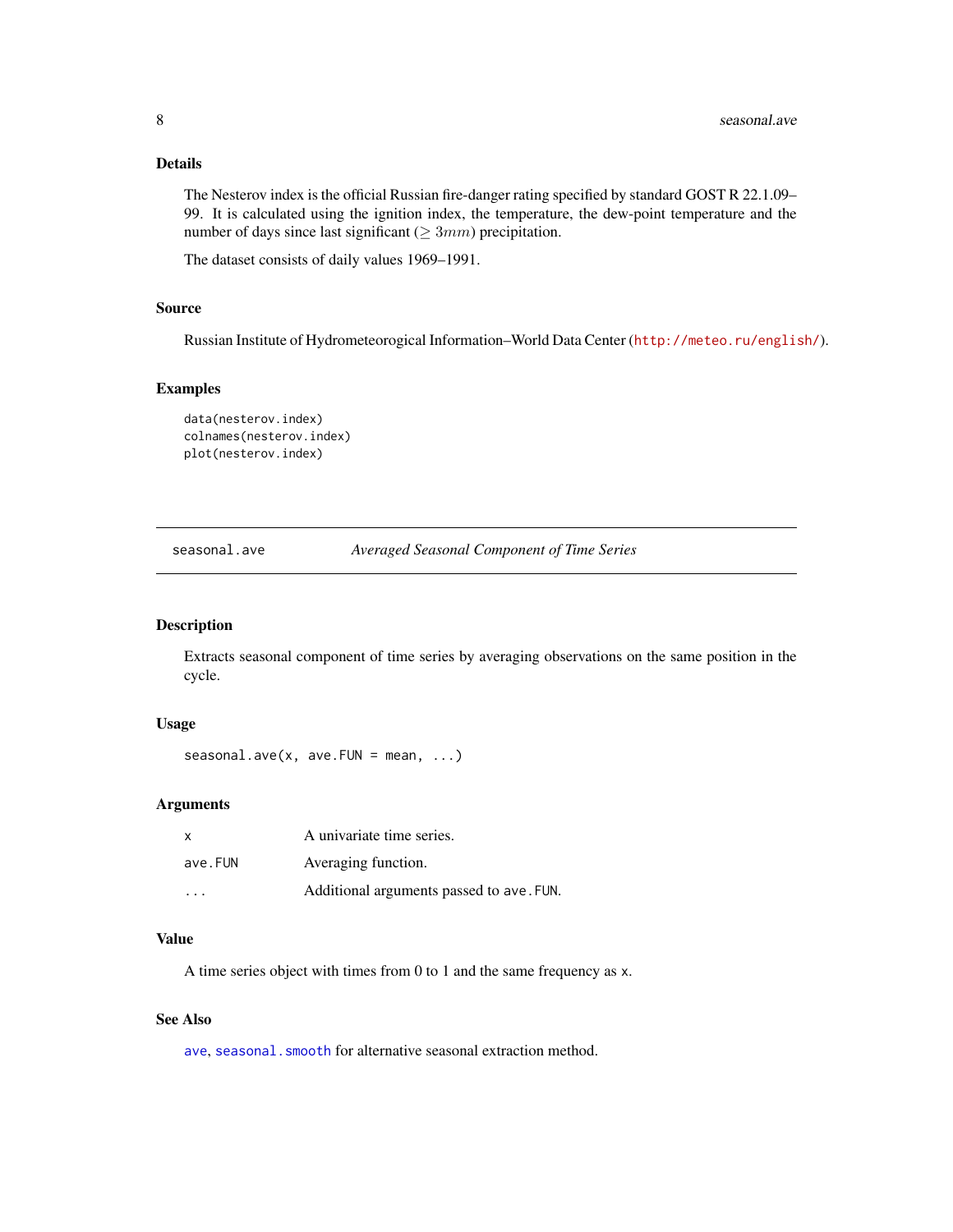## <span id="page-7-0"></span>Details

The Nesterov index is the official Russian fire-danger rating specified by standard GOST R 22.1.09– 99. It is calculated using the ignition index, the temperature, the dew-point temperature and the number of days since last significant ( $\geq 3mm$ ) precipitation.

The dataset consists of daily values 1969–1991.

## Source

Russian Institute of Hydrometeorogical Information–World Data Center (<http://meteo.ru/english/>).

## Examples

```
data(nesterov.index)
colnames(nesterov.index)
plot(nesterov.index)
```
<span id="page-7-1"></span>seasonal.ave *Averaged Seasonal Component of Time Series*

## Description

Extracts seasonal component of time series by averaging observations on the same position in the cycle.

#### Usage

seasonal.ave(x, ave.FUN = mean,  $\ldots$ )

## Arguments

| x                       | A univariate time series.                |
|-------------------------|------------------------------------------|
| ave.FUN                 | Averaging function.                      |
| $\cdot$ $\cdot$ $\cdot$ | Additional arguments passed to ave. FUN. |

#### Value

A time series object with times from 0 to 1 and the same frequency as x.

## See Also

[ave](#page-0-0), seasonal. smooth for alternative seasonal extraction method.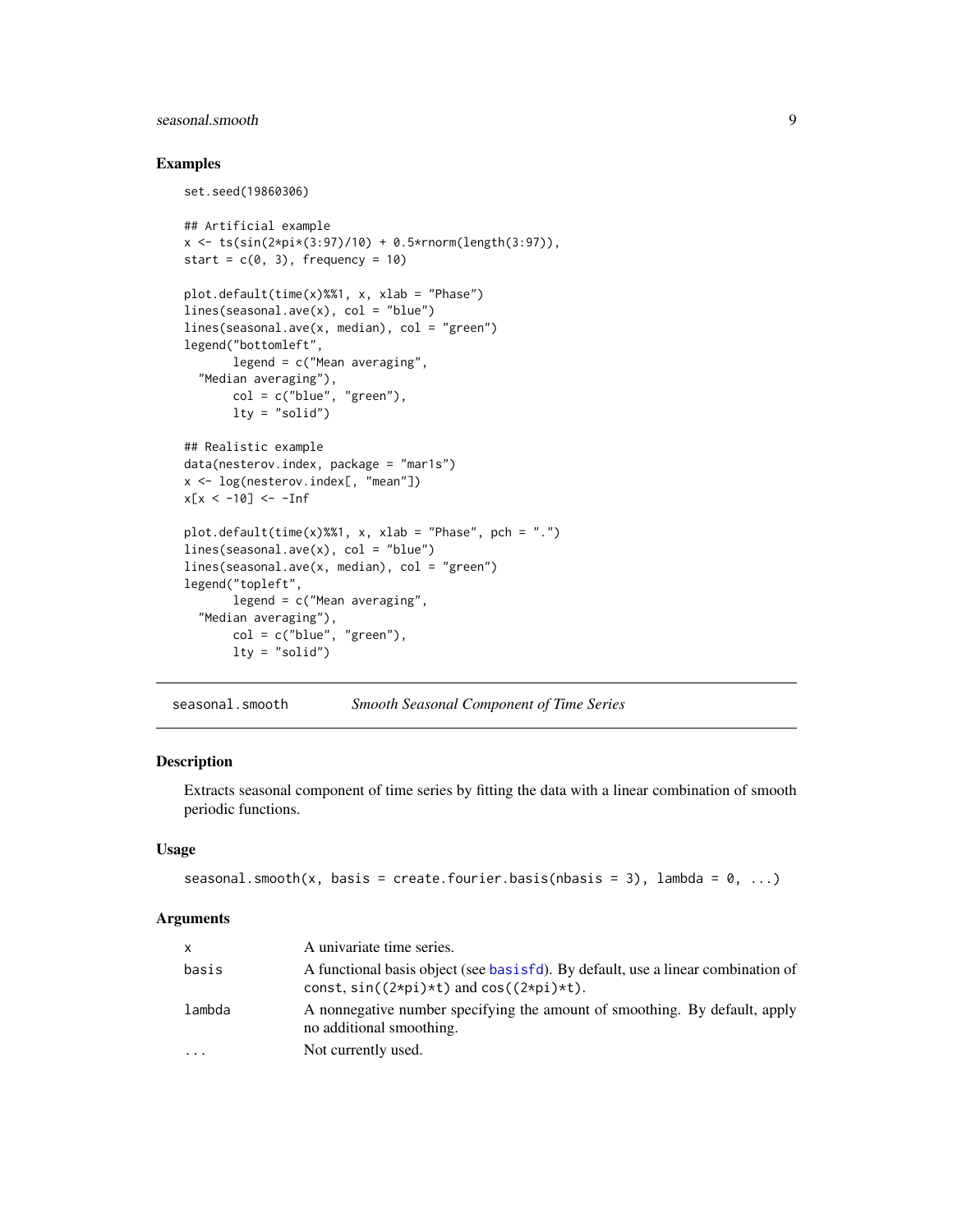## <span id="page-8-0"></span>seasonal.smooth 9

## Examples

```
set.seed(19860306)
## Artificial example
x \le -t s(\sin(2 \times pi \times (3.97)/10) + 0.5 \times r n \text{ or } (length(3.97)),start = c(0, 3), frequency = 10)
plot.default(time(x)%%1, x, xlab = "Phase")
lines(seasonal.ave(x), col = "blue")lines(seasonal.ave(x, median), col = "green")
legend("bottomleft",
       legend = c("Mean averaging",
  "Median averaging"),
       col = c("blue", "green"),lty = "solid")## Realistic example
data(nesterov.index, package = "mar1s")
x <- log(nesterov.index[, "mean"])
x[x < -10] < -10plot.default(time(x)%%1, x, xlab = "Phase", pch = ".")
lines(seasonal.ave(x), col = "blue")lines(seasonal.ave(x, median), col = "green")
legend("topleft",
       legend = c("Mean averaging",
  "Median averaging"),
       col = c("blue", "green"),lty = "solid")
```
<span id="page-8-1"></span>seasonal.smooth *Smooth Seasonal Component of Time Series*

## Description

Extracts seasonal component of time series by fitting the data with a linear combination of smooth periodic functions.

## Usage

```
seasonal.smooth(x, basis = create.fourier.basis(nbasis = 3), lambda = 0, ...)
```
#### **Arguments**

| x        | A univariate time series.                                                                              |
|----------|--------------------------------------------------------------------------------------------------------|
| basis    | A functional basis object (see basisfd). By default, use a linear combination of                       |
|          | const, $sin((2*pi)*t)$ and $cos((2*pi)*t)$ .                                                           |
| lambda   | A nonnegative number specifying the amount of smoothing. By default, apply<br>no additional smoothing. |
| $\cdots$ | Not currently used.                                                                                    |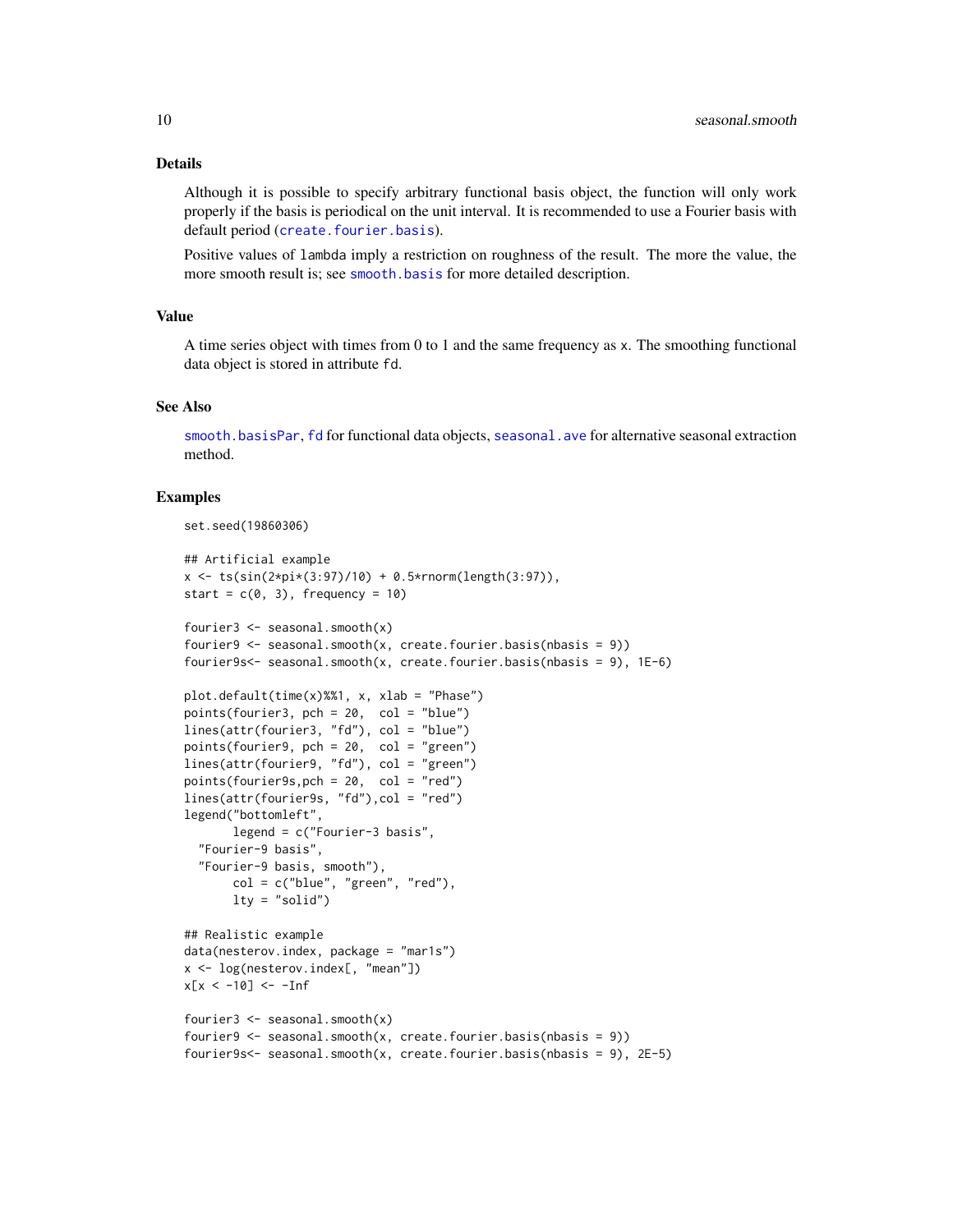#### <span id="page-9-0"></span>Details

Although it is possible to specify arbitrary functional basis object, the function will only work properly if the basis is periodical on the unit interval. It is recommended to use a Fourier basis with default period ([create.fourier.basis](#page-0-0)).

Positive values of lambda imply a restriction on roughness of the result. The more the value, the more smooth result is; see [smooth.basis](#page-0-0) for more detailed description.

## Value

A time series object with times from 0 to 1 and the same frequency as x. The smoothing functional data object is stored in attribute fd.

## See Also

[smooth.basisPar](#page-0-0), [fd](#page-0-0) for functional data objects, [seasonal.ave](#page-7-1) for alternative seasonal extraction method.

```
set.seed(19860306)
```

```
## Artificial example
x \le -t s(\sin(2 \cdot \pi x) / 10) + 0.5 \cdot \text{Tr}(\text{length}(3.97)),start = c(0, 3), frequency = 10)
fourier3 \leq seasonal.smooth(x)
fourier9 \leq seasonal.smooth(x, create.fourier.basis(nbasis = 9))
fourier9s<- seasonal.smooth(x, create.fourier.basis(nbasis = 9), 1E-6)
plot.default(time(x)%%1, x, xlab = "Phase")
points(fourier3, pch = 20, col = "blue")
lines(attr(fourier3, "fd"), col = "blue")
points(fourier9, pch = 20, col = "green")
lines(attr(fourier9, "fd"), col = "green")
points(fourier9s,pch = 20, col = "red")
lines(attr(fourier9s, "fd"),col = "red")
legend("bottomleft",
       legend = c("Fourier-3 basis",
  "Fourier-9 basis",
  "Fourier-9 basis, smooth"),
       col = c("blue", "green", "red"),
       lty = "solid")
## Realistic example
data(nesterov.index, package = "mar1s")
x <- log(nesterov.index[, "mean"])
x[x < -10] <- -1nf
fourier3 <- seasonal.smooth(x)
fourier9 \leq seasonal.smooth(x, create.fourier.basis(nbasis = 9))
fourier9s<- seasonal.smooth(x, create.fourier.basis(nbasis = 9), 2E-5)
```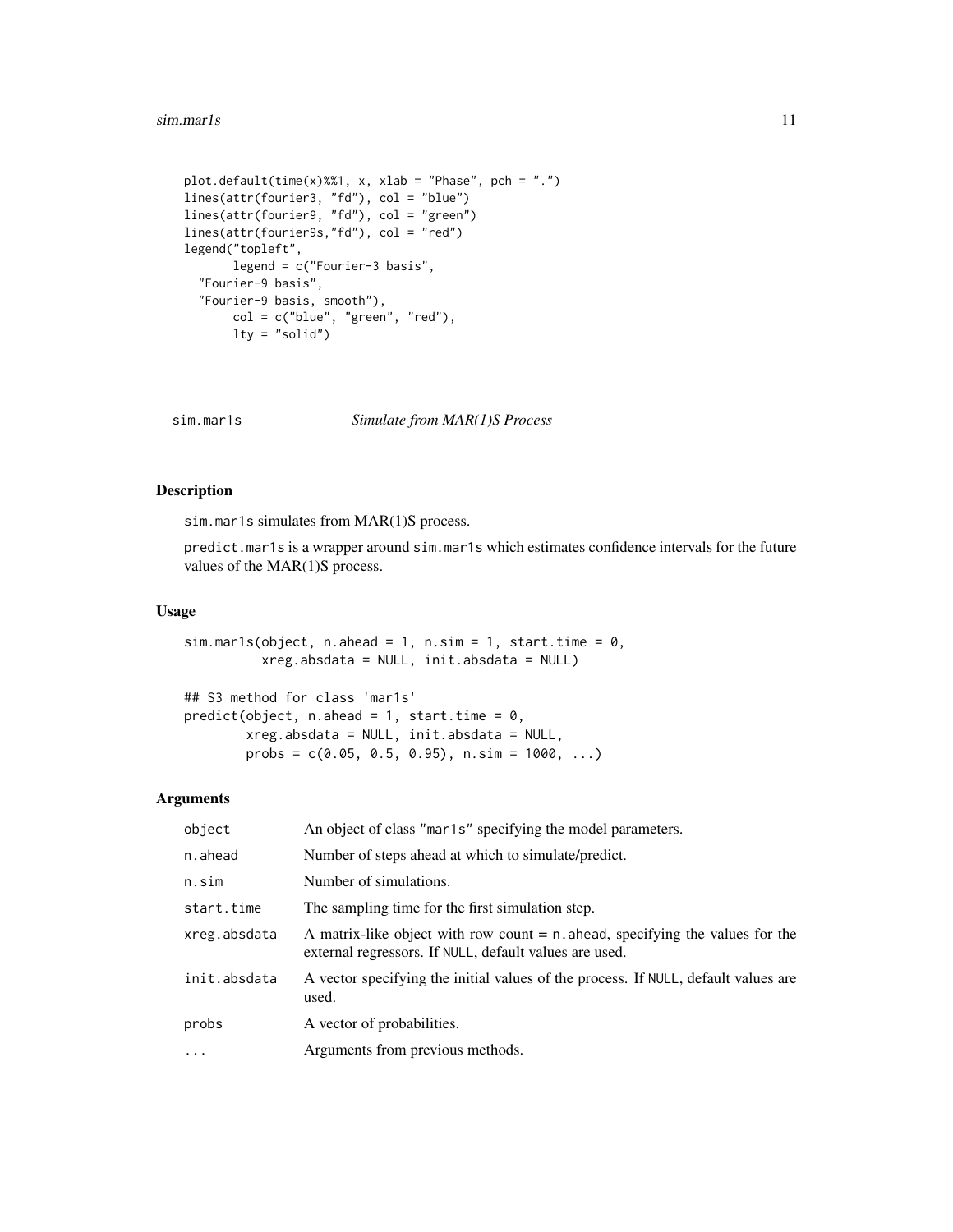#### <span id="page-10-0"></span> $s$ im.mar1s 11

```
plot.default(time(x)%%1, x, xlab = "Phase", pch = ".")
lines(attr(fourier3, "fd"), col = "blue")
lines(attr(fourier9, "fd"), col = "green")
lines(attr(fourier9s,"fd"), col = "red")
legend("topleft",
      legend = c("Fourier-3 basis",
  "Fourier-9 basis",
  "Fourier-9 basis, smooth"),
       col = c("blue", "green", "red"),
      lty = "solid")
```
<span id="page-10-1"></span>sim.mar1s *Simulate from MAR(1)S Process*

## Description

sim.mar1s simulates from MAR(1)S process.

predict.mar1s is a wrapper around sim.mar1s which estimates confidence intervals for the future values of the MAR(1)S process.

#### Usage

```
sim.mar1s(object, n.ahead = 1, n.sim = 1, start.time = 0,
         xreg.absdata = NULL, init.absdata = NULL)
```

```
## S3 method for class 'mar1s'
predict(object, n.ahead = 1, start.time = 0,
       xreg.absdata = NULL, init.absdata = NULL,
       probs = c(0.05, 0.5, 0.95), n.sim = 1000, ...)
```
## Arguments

| object       | An object of class "mar1s" specifying the model parameters.                                                                                |
|--------------|--------------------------------------------------------------------------------------------------------------------------------------------|
| n.ahead      | Number of steps ahead at which to simulate/predict.                                                                                        |
| n.sim        | Number of simulations.                                                                                                                     |
| start.time   | The sampling time for the first simulation step.                                                                                           |
| xreg.absdata | A matrix-like object with row count $= n$ . ahead, specifying the values for the<br>external regressors. If NULL, default values are used. |
| init.absdata | A vector specifying the initial values of the process. If NULL, default values are<br>used.                                                |
| probs        | A vector of probabilities.                                                                                                                 |
| $\cdots$     | Arguments from previous methods.                                                                                                           |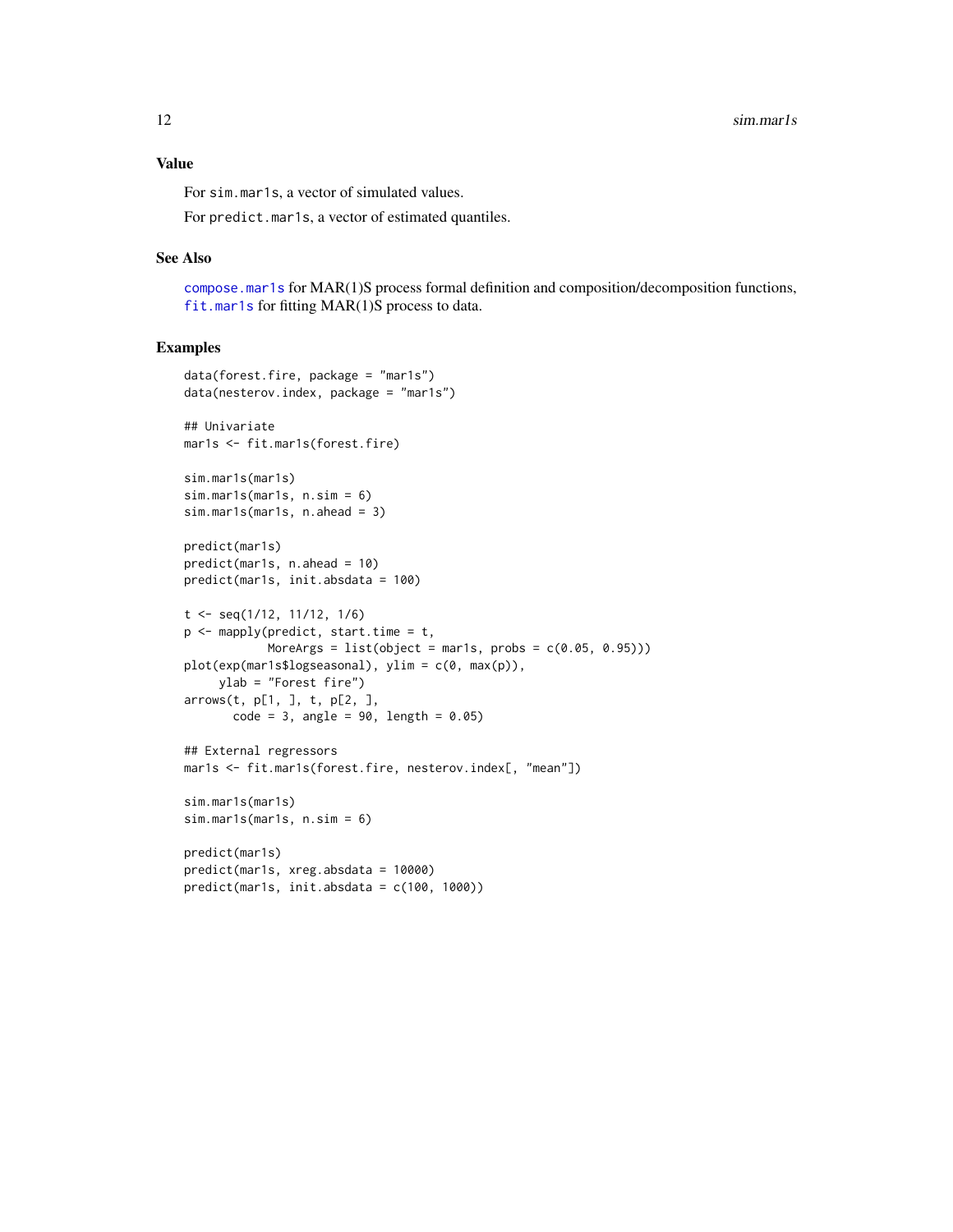## <span id="page-11-0"></span>Value

For sim.mar1s, a vector of simulated values.

For predict.mar1s, a vector of estimated quantiles.

#### See Also

[compose.mar1s](#page-2-1) for MAR(1)S process formal definition and composition/decomposition functions, [fit.mar1s](#page-4-1) for fitting MAR(1)S process to data.

```
data(forest.fire, package = "mar1s")
data(nesterov.index, package = "mar1s")
## Univariate
mar1s <- fit.mar1s(forest.fire)
sim.mar1s(mar1s)
sim.mar1s(mar1s, n.sim = 6)
sim.mar1s(mar1s, n.ahead = 3)
predict(mar1s)
predict(mar1s, n.ahead = 10)
predict(mar1s, init.absdata = 100)
t <- seq(1/12, 11/12, 1/6)
p \leftarrow \text{mapply}(\text{predict}, \text{start.time} = t,MoreArgs = list(object = mar1s, probs = c(0.05, 0.95)))plot(exp(mar1s$logseasonal), ylim = c(0, max(p)),
     ylab = "Forest fire")
arrows(t, p[1, ], t, p[2, ],
       code = 3, angle = 90, length = 0.05)## External regressors
mar1s <- fit.mar1s(forest.fire, nesterov.index[, "mean"])
sim.mar1s(mar1s)
sim.mar1s(mar1s, n.sim = 6)
predict(mar1s)
predict(mar1s, xreg.absdata = 10000)
predict(mar1s, init.absdata = c(100, 1000))
```